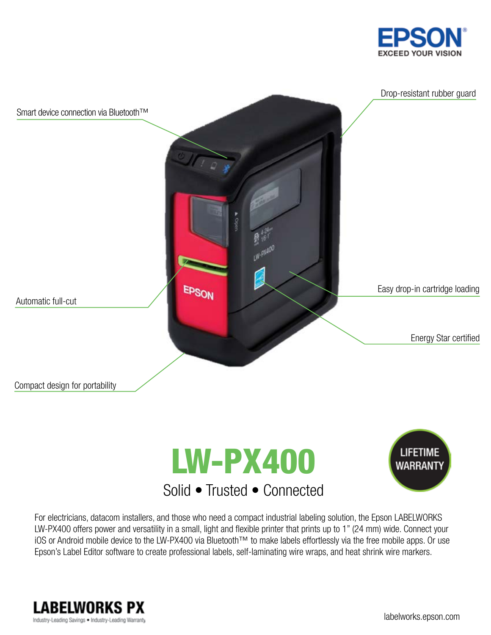







### For electricians, datacom installers, and those who need a compact industrial labeling solution, the Epson LABELWORKS LW-PX400 offers power and versatility in a small, light and flexible printer that prints up to 1" (24 mm) wide. Connect your iOS or Android mobile device to the LW-PX400 via Bluetooth™ to make labels effortlessly via the free mobile apps. Or use Epson's Label Editor software to create professional labels, self-laminating wire wraps, and heat shrink wire markers.

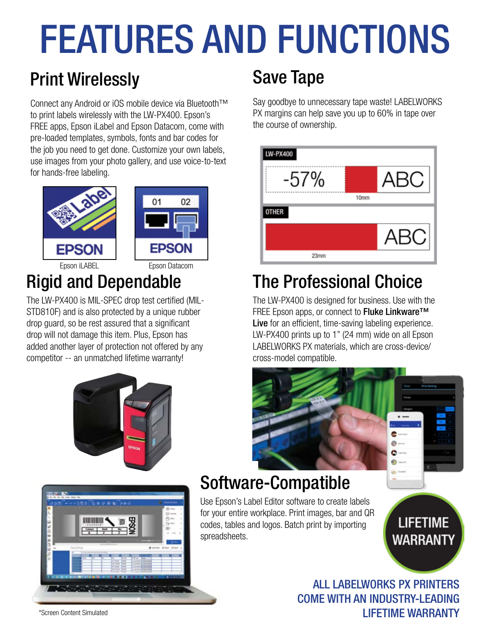# FEATURES AND FUNCTIONS

# Print Wirelessly Save Tape

Connect any Android or iOS mobile device via Bluetooth™ to print labels wirelessly with the LW-PX400. Epson's FREE apps, Epson iLabel and Epson Datacom, come with pre-loaded templates, symbols, fonts and bar codes for the job you need to get done. Customize your own labels, use images from your photo gallery, and use voice-to-text for hands-free labeling.





Epson iLABEL Epson Datacom

The LW-PX400 is MIL-SPEC drop test certified (MIL-STD810F) and is also protected by a unique rubber drop guard, so be rest assured that a significant drop will not damage this item. Plus, Epson has added another layer of protection not offered by any competitor -- an unmatched lifetime warranty!





Say goodbye to unnecessary tape waste! LABELWORKS PX margins can help save you up to 60% in tape over the course of ownership.

| LW-PX400 |      |            |
|----------|------|------------|
| $-57\%$  |      | <b>ABC</b> |
|          | 10mm |            |
|          |      |            |
| OTHER    |      |            |
|          |      | <b>ABC</b> |

# Rigid and Dependable The Professional Choice

The LW-PX400 is designed for business. Use with the FREE Epson apps, or connect to Fluke Linkware™ Live for an efficient, time-saving labeling experience. LW-PX400 prints up to 1" (24 mm) wide on all Epson LABELWORKS PX materials, which are cross-device/ cross-model compatible.

# Software-Compatible

Use Epson's Label Editor software to create labels for your entire workplace. Print images, bar and QR codes, tables and logos. Batch print by importing spreadsheets.

**LIFETIME WARRANTY** 

ä в

ALL LABELWORKS PX PRINTERS COME WITH AN INDUSTRY-LEADING LIFETIME WARRANTY

\*Screen Content Simulated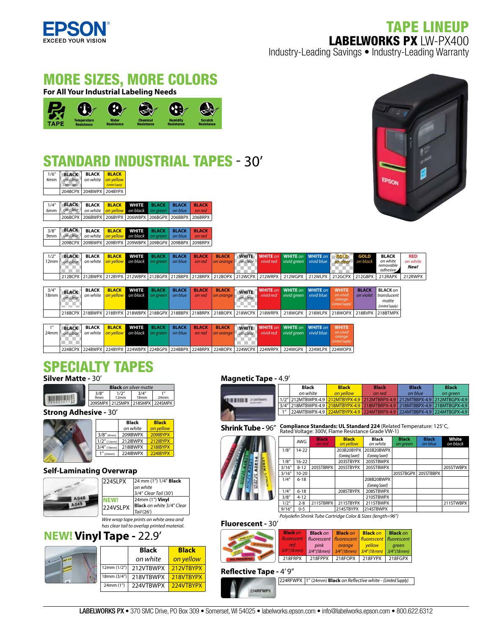

# TAPE LINEUP LABELWORKS PX LW-PX400 Industry-Leading Savings • Industry-Leading Warranty

# MORE SIZES, MORE COLORS

**For All Your Industrial Labeling Needs**



# **ANDARD INDUSTRIAL TAPES - 30'**

| 1/6"<br>4 <sub>mm</sub> | <b>BLACK</b><br>on clear<br>(Limited Supply) | <b>BLACK</b><br>on white                                  | <b>BLACK</b><br>on vellow<br>(Limited Supply) |              |              |              |              |
|-------------------------|----------------------------------------------|-----------------------------------------------------------|-----------------------------------------------|--------------|--------------|--------------|--------------|
|                         |                                              | 204BCPX 204BWPX 204BYPX                                   |                                               |              |              |              |              |
|                         |                                              |                                                           |                                               |              |              |              |              |
| 1/4''                   | <b>BLACK</b>                                 | <b>BLACK</b>                                              | <b>BLACK</b>                                  | <b>WHITE</b> | <b>BLACK</b> | <b>BLACK</b> | <b>BLACK</b> |
| 6 <sub>mm</sub>         | on clear                                     | on white                                                  | on vellow                                     | on black     | on areen     | on blue      | on red       |
|                         |                                              | 206BCPX   206BWPX   206BYPX   206WBPX   206BGPX   206BBPX |                                               |              |              |              | 206BRPX      |

| 3/8'' | BLACK BLACK BLACK WHITE BLACK BLACK BLACK                        |  |  |  |
|-------|------------------------------------------------------------------|--|--|--|
|       | 9mm on clear on white on vellow on black on green on blue on red |  |  |  |
|       | 209BCPX 209BWPX 209BYPX 209WBPX 209BGPX 209BBPX 209BRPX          |  |  |  |



| 1/2"<br>12mm              | <b>BLACK</b><br>on clear | <b>BLACK</b><br>on white | <b>BLACK</b><br>on vellow | <b>WHITE</b><br>on black on areen        | <b>BLACK</b> | <b>BLACK</b><br>on blue | <b>BLACK</b><br>on red | <b>BLACK</b><br>  on orange | on clear 1               | <b>WHITE</b> WHITE on WHITE on WHITE on I<br>vivid red vivid areen vivid blue             |         | GOLD<br>on dear I                                       | <b>GOLD</b><br>on black   | <b>BLACK</b><br>on white<br>removable<br>adhesive           | <b>RED</b><br>on white<br>New! |
|---------------------------|--------------------------|--------------------------|---------------------------|------------------------------------------|--------------|-------------------------|------------------------|-----------------------------|--------------------------|-------------------------------------------------------------------------------------------|---------|---------------------------------------------------------|---------------------------|-------------------------------------------------------------|--------------------------------|
|                           |                          |                          |                           |                                          |              |                         |                        |                             |                          | 212BCPX 212BWPX 212BYPX 212WBPX 212BGPX 212BBPX 212BRPX 212BOPX 212WCPX 212WRPX 212WGPX 1 | 212WLPX | 212GCPX 212GBPX                                         |                           | 212RAPX                                                     | 212RWPX                        |
|                           |                          |                          |                           |                                          |              |                         |                        |                             |                          |                                                                                           |         |                                                         |                           |                                                             |                                |
| 3/4''<br>18 <sub>mm</sub> | <b>BLACK</b><br>on clear | <b>BLACK</b><br>on white | <b>BLACK</b><br>on vellow | <b>WHITE</b><br><b>on black</b> on areen | <b>BLACK</b> | <b>BLACK</b><br>on blue | <b>BLACK</b><br>on red | <b>BLACK</b><br>on orange   | <b>WHITE</b><br>on clear | <b>WHITE on WHITE on WHITE on</b><br>vivid red vivid green vivid blue                     |         | <b>WHITE</b><br>on vivid<br>orange.<br>(Limited Supply) | <b>BLACK</b><br>on violet | <b>BLACK on</b><br>translucent<br>matte<br>(Limited Sunnly) |                                |

|                  |              |              |                                      |  |                                                              |                        | 218BCPX 218BWPX 218BYPX 218WBPX 218BGPX 218BBPX 218BRPX 218BOPX 218WCPX 218WRPX 218WGPX 218WLPX 2218WOPX 218BVPX 218BTMPX |                  |  |
|------------------|--------------|--------------|--------------------------------------|--|--------------------------------------------------------------|------------------------|---------------------------------------------------------------------------------------------------------------------------|------------------|--|
|                  |              |              |                                      |  |                                                              |                        |                                                                                                                           |                  |  |
|                  | <b>BLACK</b> | <b>BLACK</b> | <b>BLACK WHITE BLACK BLACK BLACK</b> |  | <b>BLACK</b>                                                 |                        | <b>WHITE</b> WHITE on WHITE on WHITE on                                                                                   | <b>WHITE</b>     |  |
| 24 <sub>mm</sub> | on clear     |              |                                      |  | on white on vellow on black on area on blue on red on orange | $\Box$ on clear $\Box$ | vivid red vivid areen vivid blue                                                                                          | on vivid         |  |
|                  |              |              |                                      |  |                                                              |                        |                                                                                                                           | (Limited Supply) |  |
|                  |              |              |                                      |  |                                                              |                        |                                                                                                                           | orange           |  |

224BCPX 224BWPX 224BYPX 224WBPX 224BGPX 224BBPX 224BRPX 224BOPX 224WCPX 224WRPX 224WGPX 224WLPX 224WOPX

# SPECIALTY TAPES

### **Silver Matte -** 30'

Silver matte designed for optimal use with bar code readers. Withstands extreme temperatures,

|                          |               | <b>Black</b> on silver matte    |                         |
|--------------------------|---------------|---------------------------------|-------------------------|
| 3/8''<br>9 <sub>mm</sub> | 1/2''<br>12mm | 3/4''<br>18mm                   | 1 <sub>II</sub><br>24mm |
|                          |               | 209SMPX 212SMPX 218SMPX 224SMPX |                         |

**Strong Adhesive -** 30'

|                 | <b>Black</b> | <b>Black</b> |
|-----------------|--------------|--------------|
|                 | on white     | on yellow    |
| $3/8''$ (9mm)   | 209IBWPX     | 209IBYPX     |
| $1/2$ " (12mm)  | 212IBWPX     | 212IBYPX     |
| $13/4''$ (18mm) | 218IBWPX     | 218 BYPX     |
| (24mm)          | 224IBWPX     | 224IBYPX     |
|                 |              |              |

#### **Self-Laminating Overwrap**

| 224SLPX  | 24 mm (1") 1/4" <b>Black</b><br>on white |
|----------|------------------------------------------|
|          | 3/4" Clear Tail (30')                    |
|          | 24mm (1") <b>Vinyl</b>                   |
| 224VSLPX | Black on white 3/4" Clear                |
|          | Tail (26')                               |
|          | Wire wran tane prints on white area and  |

*Wire wrap tape prints on white area and has clear tail to overlap printed material.*

## **NEW! Vinyl Tape -** 22.9'



#### **Magnetic Tape -** 4.9'

| 1/2"                        |
|-----------------------------|
| $\mathbf{A}^{\prime\prime}$ |
| $\boldsymbol{\eta}$         |

|                                      | <b>Black</b>                                                               | <b>Black</b> | <b>Black</b> | <b>Black</b> | <b>Black</b> |
|--------------------------------------|----------------------------------------------------------------------------|--------------|--------------|--------------|--------------|
|                                      | on white                                                                   | on vellow    | on red       | on blue      | on areen     |
| <b>ITAMEBWEI</b><br><b>CALCULARS</b> | 1/2" 212MTBWPX-4.9 212MTBYPX-4.9 212MTBRPX-4.9 212MTBBPX-4.9 212MTBGPX-4.9 |              |              |              |              |
|                                      | 3/4" 218MTBWPX-4.9 218MTBYPX-4.9 218MTBRPX-4.9 218MTBBPX-4.9 218MTBGPX-4.9 |              |              |              |              |
|                                      | 224MTBWPX-4.9 224MTBYPX-4.9 224MTBRPX-4.9 224MTBBPX-4.9 224MTBGPX-4.9      |              |              |              |              |
|                                      |                                                                            |              |              |              |              |

**Shrink Tube - 96<sup>"</sup> Compliance Standards: UL Standard 224** (Related Temperature: 125°C, **Rated VII** Public Resistance Grade VW-1)

|        | <b>AWG</b> | <b>Black</b><br>on red | <b>Black</b><br>on yellow | <b>Black</b><br>on white | <b>Black</b><br>on green | <b>Black</b><br>on blue | White<br>on black |
|--------|------------|------------------------|---------------------------|--------------------------|--------------------------|-------------------------|-------------------|
| 1/8"   | $14 - 22$  |                        | 203B20BYPX                | 203B20BWPX               |                          |                         |                   |
|        |            |                        | (Comina Soon!)            | (Comina Soon!)           |                          |                         |                   |
| 1/8"   | $16 - 22$  |                        | 203STBYPX                 | 203STBWPX                |                          |                         |                   |
| 3/16'' | $8 - 12$   | 205STBRPX              | 205STBYPX                 | 205STBWPX                |                          |                         | 205STWBPX         |
| 3/16'' | $10 - 20$  |                        |                           |                          | 205STBGPX 205STBBPX      |                         |                   |
| 1/4"   | $6 - 18$   |                        |                           | 208B20BWPX               |                          |                         |                   |
|        |            |                        |                           | (Comina Soon!)           |                          |                         |                   |
| 1/4"   | $6 - 18$   |                        | 208STBYPX                 | 208STBWPX                |                          |                         |                   |
| 3/8''  | $4 - 12$   |                        |                           | 210STBWPX                |                          |                         |                   |
| 1/2"   | $2 - 8$    | 211STBRPX              | 211STBYPX                 | 211STBWPX                |                          |                         | 211STWBPX         |
| 9/16'' | $0 - 5$    |                        | 214STBYPX                 | 214STBWPX                |                          |                         |                   |

*Polyole n Shrink Tube Cartridge Color & Sizes (length=96")*

#### **Fluorescent -** 30'

| <b>Black on</b> | <b>Black</b> on | <b>Black on</b>                                       | <b>Black on</b>               | <b>Black on</b> |
|-----------------|-----------------|-------------------------------------------------------|-------------------------------|-----------------|
| fluorescent     |                 | fluorescent   fluorescent   fluorescent   fluorescent |                               |                 |
| red             | pink            | orange                                                | vellow                        | areen           |
| 3/4''(18mm)     |                 | $3/4''(18mm)$ $3/4''(18mm)$                           | $3/4''(18$ mm) $3/4''(18$ mm) |                 |
| 218FRPX         |                 | 218FPPX   218FOPX   218FYPX   218FGPX                 |                               |                 |

#### **Reflective Tape - 4' 9"**

224RFWPX 1" (24mm) **Black** *on Re ective white - (Limited Supply)*

224RFWP)